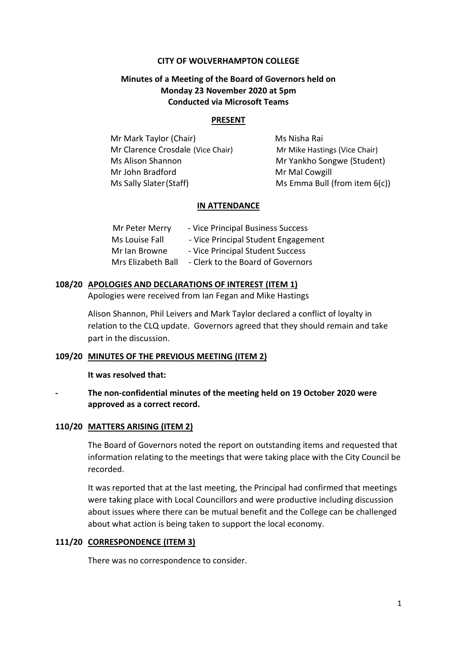#### **CITY OF WOLVERHAMPTON COLLEGE**

## **Minutes of a Meeting of the Board of Governors held on Monday 23 November 2020 at 5pm Conducted via Microsoft Teams**

#### **PRESENT**

Mr Mark Taylor (Chair) Ms Nisha Rai Mr Clarence Crosdale (Vice Chair) Mr Mike Hastings (Vice Chair) Ms Alison Shannon Mr Yankho Songwe (Student) Mr John Bradford Mr Mal Cowgill Ms Sally Slater (Staff) Ms Emma Bull (from item 6(c))

#### **IN ATTENDANCE**

| Mr Peter Merry     | - Vice Principal Business Success   |
|--------------------|-------------------------------------|
| Ms Louise Fall     | - Vice Principal Student Engagement |
| Mr Ian Browne      | - Vice Principal Student Success    |
| Mrs Elizabeth Ball | - Clerk to the Board of Governors   |

#### **108/20 APOLOGIES AND DECLARATIONS OF INTEREST (ITEM 1)**

Apologies were received from Ian Fegan and Mike Hastings

Alison Shannon, Phil Leivers and Mark Taylor declared a conflict of loyalty in relation to the CLQ update. Governors agreed that they should remain and take part in the discussion.

### **109/20 MINUTES OF THE PREVIOUS MEETING (ITEM 2)**

**It was resolved that:**

**- The non-confidential minutes of the meeting held on 19 October 2020 were approved as a correct record.**

### **110/20 MATTERS ARISING (ITEM 2)**

The Board of Governors noted the report on outstanding items and requested that information relating to the meetings that were taking place with the City Council be recorded.

It was reported that at the last meeting, the Principal had confirmed that meetings were taking place with Local Councillors and were productive including discussion about issues where there can be mutual benefit and the College can be challenged about what action is being taken to support the local economy.

#### **111/20 CORRESPONDENCE (ITEM 3)**

There was no correspondence to consider.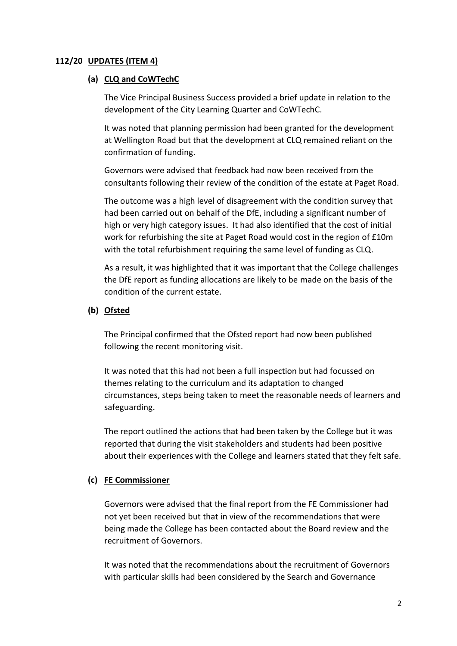## **112/20 UPDATES (ITEM 4)**

## **(a) CLQ and CoWTechC**

The Vice Principal Business Success provided a brief update in relation to the development of the City Learning Quarter and CoWTechC.

It was noted that planning permission had been granted for the development at Wellington Road but that the development at CLQ remained reliant on the confirmation of funding.

Governors were advised that feedback had now been received from the consultants following their review of the condition of the estate at Paget Road.

The outcome was a high level of disagreement with the condition survey that had been carried out on behalf of the DfE, including a significant number of high or very high category issues. It had also identified that the cost of initial work for refurbishing the site at Paget Road would cost in the region of £10m with the total refurbishment requiring the same level of funding as CLQ.

As a result, it was highlighted that it was important that the College challenges the DfE report as funding allocations are likely to be made on the basis of the condition of the current estate.

## **(b) Ofsted**

The Principal confirmed that the Ofsted report had now been published following the recent monitoring visit.

It was noted that this had not been a full inspection but had focussed on themes relating to the curriculum and its adaptation to changed circumstances, steps being taken to meet the reasonable needs of learners and safeguarding.

The report outlined the actions that had been taken by the College but it was reported that during the visit stakeholders and students had been positive about their experiences with the College and learners stated that they felt safe.

## **(c) FE Commissioner**

Governors were advised that the final report from the FE Commissioner had not yet been received but that in view of the recommendations that were being made the College has been contacted about the Board review and the recruitment of Governors.

It was noted that the recommendations about the recruitment of Governors with particular skills had been considered by the Search and Governance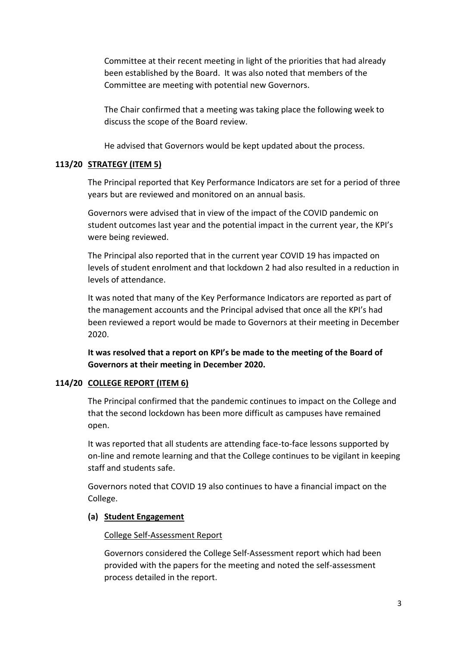Committee at their recent meeting in light of the priorities that had already been established by the Board. It was also noted that members of the Committee are meeting with potential new Governors.

The Chair confirmed that a meeting was taking place the following week to discuss the scope of the Board review.

He advised that Governors would be kept updated about the process.

## **113/20 STRATEGY (ITEM 5)**

The Principal reported that Key Performance Indicators are set for a period of three years but are reviewed and monitored on an annual basis.

Governors were advised that in view of the impact of the COVID pandemic on student outcomes last year and the potential impact in the current year, the KPI's were being reviewed.

The Principal also reported that in the current year COVID 19 has impacted on levels of student enrolment and that lockdown 2 had also resulted in a reduction in levels of attendance.

It was noted that many of the Key Performance Indicators are reported as part of the management accounts and the Principal advised that once all the KPI's had been reviewed a report would be made to Governors at their meeting in December 2020.

**It was resolved that a report on KPI's be made to the meeting of the Board of Governors at their meeting in December 2020.**

## **114/20 COLLEGE REPORT (ITEM 6)**

The Principal confirmed that the pandemic continues to impact on the College and that the second lockdown has been more difficult as campuses have remained open.

It was reported that all students are attending face-to-face lessons supported by on-line and remote learning and that the College continues to be vigilant in keeping staff and students safe.

Governors noted that COVID 19 also continues to have a financial impact on the College.

### **(a) Student Engagement**

### College Self-Assessment Report

Governors considered the College Self-Assessment report which had been provided with the papers for the meeting and noted the self-assessment process detailed in the report.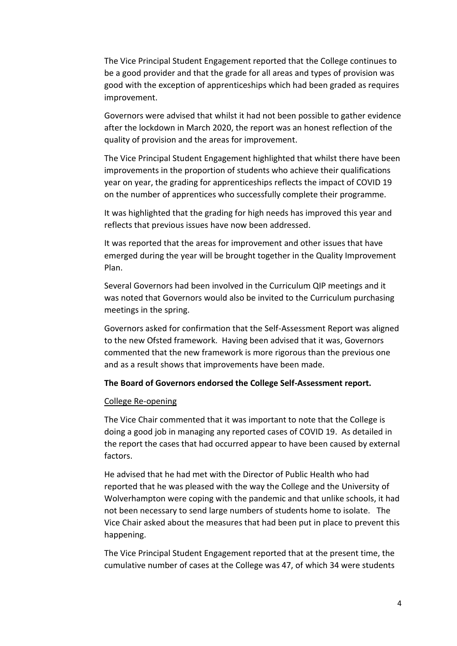The Vice Principal Student Engagement reported that the College continues to be a good provider and that the grade for all areas and types of provision was good with the exception of apprenticeships which had been graded as requires improvement.

Governors were advised that whilst it had not been possible to gather evidence after the lockdown in March 2020, the report was an honest reflection of the quality of provision and the areas for improvement.

The Vice Principal Student Engagement highlighted that whilst there have been improvements in the proportion of students who achieve their qualifications year on year, the grading for apprenticeships reflects the impact of COVID 19 on the number of apprentices who successfully complete their programme.

It was highlighted that the grading for high needs has improved this year and reflects that previous issues have now been addressed.

It was reported that the areas for improvement and other issues that have emerged during the year will be brought together in the Quality Improvement Plan.

Several Governors had been involved in the Curriculum QIP meetings and it was noted that Governors would also be invited to the Curriculum purchasing meetings in the spring.

Governors asked for confirmation that the Self-Assessment Report was aligned to the new Ofsted framework. Having been advised that it was, Governors commented that the new framework is more rigorous than the previous one and as a result shows that improvements have been made.

#### **The Board of Governors endorsed the College Self-Assessment report.**

#### College Re-opening

The Vice Chair commented that it was important to note that the College is doing a good job in managing any reported cases of COVID 19. As detailed in the report the cases that had occurred appear to have been caused by external factors.

He advised that he had met with the Director of Public Health who had reported that he was pleased with the way the College and the University of Wolverhampton were coping with the pandemic and that unlike schools, it had not been necessary to send large numbers of students home to isolate. The Vice Chair asked about the measures that had been put in place to prevent this happening.

The Vice Principal Student Engagement reported that at the present time, the cumulative number of cases at the College was 47, of which 34 were students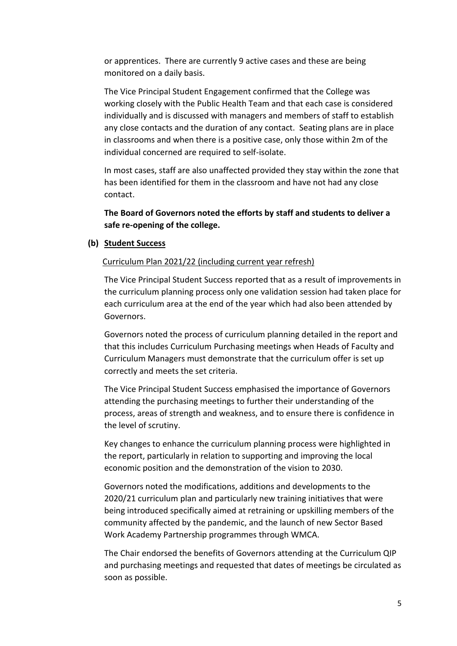or apprentices. There are currently 9 active cases and these are being monitored on a daily basis.

The Vice Principal Student Engagement confirmed that the College was working closely with the Public Health Team and that each case is considered individually and is discussed with managers and members of staff to establish any close contacts and the duration of any contact. Seating plans are in place in classrooms and when there is a positive case, only those within 2m of the individual concerned are required to self-isolate.

In most cases, staff are also unaffected provided they stay within the zone that has been identified for them in the classroom and have not had any close contact.

**The Board of Governors noted the efforts by staff and students to deliver a safe re-opening of the college.**

#### **(b) Student Success**

#### Curriculum Plan 2021/22 (including current year refresh)

 The Vice Principal Student Success reported that as a result of improvements in the curriculum planning process only one validation session had taken place for each curriculum area at the end of the year which had also been attended by Governors.

Governors noted the process of curriculum planning detailed in the report and that this includes Curriculum Purchasing meetings when Heads of Faculty and Curriculum Managers must demonstrate that the curriculum offer is set up correctly and meets the set criteria.

The Vice Principal Student Success emphasised the importance of Governors attending the purchasing meetings to further their understanding of the process, areas of strength and weakness, and to ensure there is confidence in the level of scrutiny.

Key changes to enhance the curriculum planning process were highlighted in the report, particularly in relation to supporting and improving the local economic position and the demonstration of the vision to 2030.

Governors noted the modifications, additions and developments to the 2020/21 curriculum plan and particularly new training initiatives that were being introduced specifically aimed at retraining or upskilling members of the community affected by the pandemic, and the launch of new Sector Based Work Academy Partnership programmes through WMCA.

The Chair endorsed the benefits of Governors attending at the Curriculum QIP and purchasing meetings and requested that dates of meetings be circulated as soon as possible.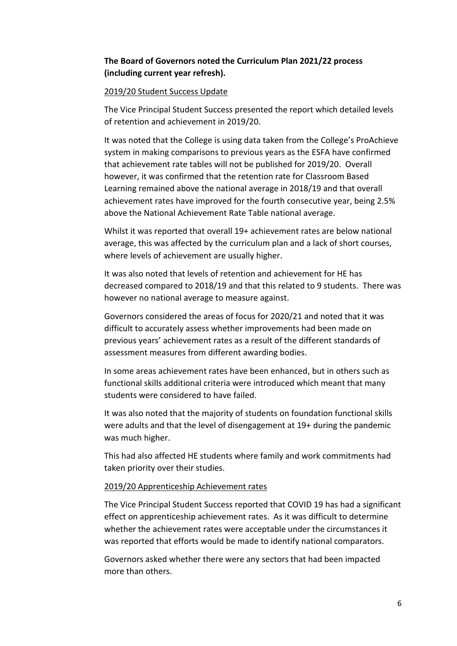## **The Board of Governors noted the Curriculum Plan 2021/22 process (including current year refresh).**

## 2019/20 Student Success Update

The Vice Principal Student Success presented the report which detailed levels of retention and achievement in 2019/20.

It was noted that the College is using data taken from the College's ProAchieve system in making comparisons to previous years as the ESFA have confirmed that achievement rate tables will not be published for 2019/20. Overall however, it was confirmed that the retention rate for Classroom Based Learning remained above the national average in 2018/19 and that overall achievement rates have improved for the fourth consecutive year, being 2.5% above the National Achievement Rate Table national average.

Whilst it was reported that overall 19+ achievement rates are below national average, this was affected by the curriculum plan and a lack of short courses, where levels of achievement are usually higher.

It was also noted that levels of retention and achievement for HE has decreased compared to 2018/19 and that this related to 9 students. There was however no national average to measure against.

Governors considered the areas of focus for 2020/21 and noted that it was difficult to accurately assess whether improvements had been made on previous years' achievement rates as a result of the different standards of assessment measures from different awarding bodies.

In some areas achievement rates have been enhanced, but in others such as functional skills additional criteria were introduced which meant that many students were considered to have failed.

It was also noted that the majority of students on foundation functional skills were adults and that the level of disengagement at 19+ during the pandemic was much higher.

This had also affected HE students where family and work commitments had taken priority over their studies.

### 2019/20 Apprenticeship Achievement rates

The Vice Principal Student Success reported that COVID 19 has had a significant effect on apprenticeship achievement rates. As it was difficult to determine whether the achievement rates were acceptable under the circumstances it was reported that efforts would be made to identify national comparators.

Governors asked whether there were any sectors that had been impacted more than others.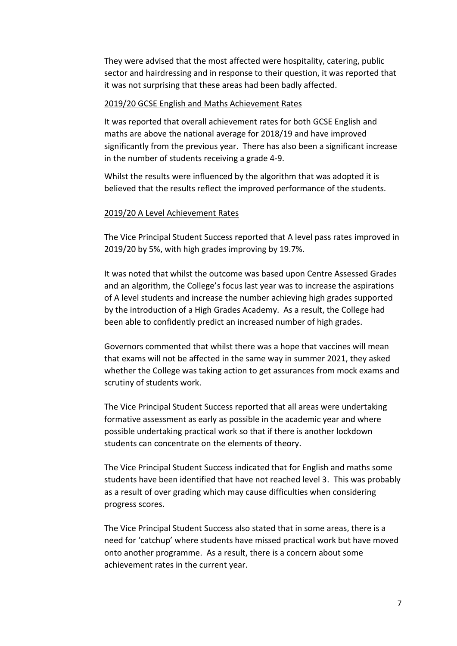They were advised that the most affected were hospitality, catering, public sector and hairdressing and in response to their question, it was reported that it was not surprising that these areas had been badly affected.

#### 2019/20 GCSE English and Maths Achievement Rates

It was reported that overall achievement rates for both GCSE English and maths are above the national average for 2018/19 and have improved significantly from the previous year. There has also been a significant increase in the number of students receiving a grade 4-9.

Whilst the results were influenced by the algorithm that was adopted it is believed that the results reflect the improved performance of the students.

#### 2019/20 A Level Achievement Rates

The Vice Principal Student Success reported that A level pass rates improved in 2019/20 by 5%, with high grades improving by 19.7%.

It was noted that whilst the outcome was based upon Centre Assessed Grades and an algorithm, the College's focus last year was to increase the aspirations of A level students and increase the number achieving high grades supported by the introduction of a High Grades Academy. As a result, the College had been able to confidently predict an increased number of high grades.

Governors commented that whilst there was a hope that vaccines will mean that exams will not be affected in the same way in summer 2021, they asked whether the College was taking action to get assurances from mock exams and scrutiny of students work.

The Vice Principal Student Success reported that all areas were undertaking formative assessment as early as possible in the academic year and where possible undertaking practical work so that if there is another lockdown students can concentrate on the elements of theory.

The Vice Principal Student Success indicated that for English and maths some students have been identified that have not reached level 3. This was probably as a result of over grading which may cause difficulties when considering progress scores.

The Vice Principal Student Success also stated that in some areas, there is a need for 'catchup' where students have missed practical work but have moved onto another programme. As a result, there is a concern about some achievement rates in the current year.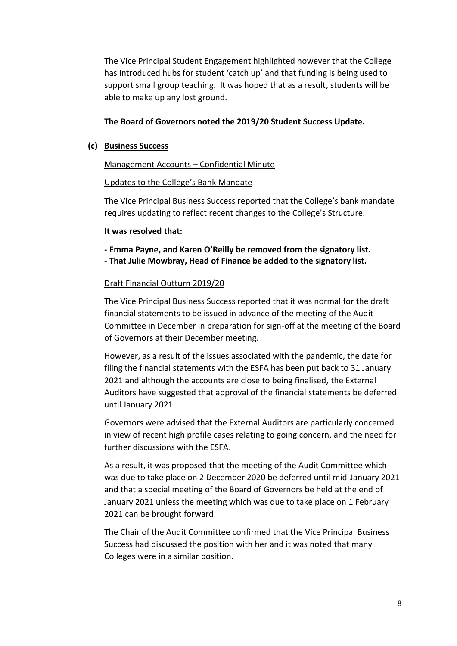The Vice Principal Student Engagement highlighted however that the College has introduced hubs for student 'catch up' and that funding is being used to support small group teaching. It was hoped that as a result, students will be able to make up any lost ground.

## **The Board of Governors noted the 2019/20 Student Success Update.**

## **(c) Business Success**

## Management Accounts – Confidential Minute

## Updates to the College's Bank Mandate

The Vice Principal Business Success reported that the College's bank mandate requires updating to reflect recent changes to the College's Structure.

## **It was resolved that:**

**- Emma Payne, and Karen O'Reilly be removed from the signatory list. - That Julie Mowbray, Head of Finance be added to the signatory list.**

## Draft Financial Outturn 2019/20

The Vice Principal Business Success reported that it was normal for the draft financial statements to be issued in advance of the meeting of the Audit Committee in December in preparation for sign-off at the meeting of the Board of Governors at their December meeting.

However, as a result of the issues associated with the pandemic, the date for filing the financial statements with the ESFA has been put back to 31 January 2021 and although the accounts are close to being finalised, the External Auditors have suggested that approval of the financial statements be deferred until January 2021.

Governors were advised that the External Auditors are particularly concerned in view of recent high profile cases relating to going concern, and the need for further discussions with the ESFA.

As a result, it was proposed that the meeting of the Audit Committee which was due to take place on 2 December 2020 be deferred until mid-January 2021 and that a special meeting of the Board of Governors be held at the end of January 2021 unless the meeting which was due to take place on 1 February 2021 can be brought forward.

The Chair of the Audit Committee confirmed that the Vice Principal Business Success had discussed the position with her and it was noted that many Colleges were in a similar position.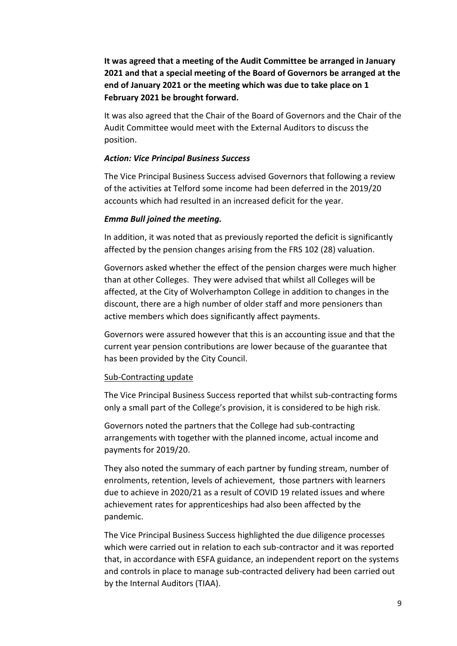**It was agreed that a meeting of the Audit Committee be arranged in January 2021 and that a special meeting of the Board of Governors be arranged at the end of January 2021 or the meeting which was due to take place on 1 February 2021 be brought forward.**

It was also agreed that the Chair of the Board of Governors and the Chair of the Audit Committee would meet with the External Auditors to discuss the position.

#### *Action: Vice Principal Business Success*

The Vice Principal Business Success advised Governors that following a review of the activities at Telford some income had been deferred in the 2019/20 accounts which had resulted in an increased deficit for the year.

#### *Emma Bull joined the meeting.*

In addition, it was noted that as previously reported the deficit is significantly affected by the pension changes arising from the FRS 102 (28) valuation.

Governors asked whether the effect of the pension charges were much higher than at other Colleges. They were advised that whilst all Colleges will be affected, at the City of Wolverhampton College in addition to changes in the discount, there are a high number of older staff and more pensioners than active members which does significantly affect payments.

Governors were assured however that this is an accounting issue and that the current year pension contributions are lower because of the guarantee that has been provided by the City Council.

#### Sub-Contracting update

The Vice Principal Business Success reported that whilst sub-contracting forms only a small part of the College's provision, it is considered to be high risk.

Governors noted the partners that the College had sub-contracting arrangements with together with the planned income, actual income and payments for 2019/20.

They also noted the summary of each partner by funding stream, number of enrolments, retention, levels of achievement, those partners with learners due to achieve in 2020/21 as a result of COVID 19 related issues and where achievement rates for apprenticeships had also been affected by the pandemic.

The Vice Principal Business Success highlighted the due diligence processes which were carried out in relation to each sub-contractor and it was reported that, in accordance with ESFA guidance, an independent report on the systems and controls in place to manage sub-contracted delivery had been carried out by the Internal Auditors (TIAA).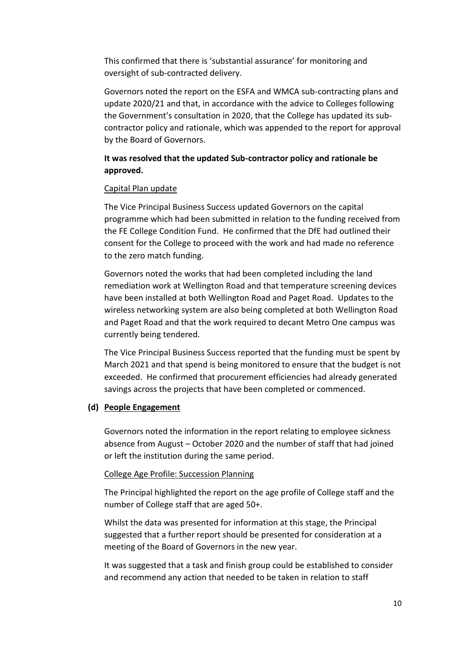This confirmed that there is 'substantial assurance' for monitoring and oversight of sub-contracted delivery.

Governors noted the report on the ESFA and WMCA sub-contracting plans and update 2020/21 and that, in accordance with the advice to Colleges following the Government's consultation in 2020, that the College has updated its subcontractor policy and rationale, which was appended to the report for approval by the Board of Governors.

# **It was resolved that the updated Sub-contractor policy and rationale be approved.**

## Capital Plan update

The Vice Principal Business Success updated Governors on the capital programme which had been submitted in relation to the funding received from the FE College Condition Fund. He confirmed that the DfE had outlined their consent for the College to proceed with the work and had made no reference to the zero match funding.

Governors noted the works that had been completed including the land remediation work at Wellington Road and that temperature screening devices have been installed at both Wellington Road and Paget Road. Updates to the wireless networking system are also being completed at both Wellington Road and Paget Road and that the work required to decant Metro One campus was currently being tendered.

The Vice Principal Business Success reported that the funding must be spent by March 2021 and that spend is being monitored to ensure that the budget is not exceeded. He confirmed that procurement efficiencies had already generated savings across the projects that have been completed or commenced.

## **(d) People Engagement**

Governors noted the information in the report relating to employee sickness absence from August – October 2020 and the number of staff that had joined or left the institution during the same period.

### College Age Profile: Succession Planning

The Principal highlighted the report on the age profile of College staff and the number of College staff that are aged 50+.

Whilst the data was presented for information at this stage, the Principal suggested that a further report should be presented for consideration at a meeting of the Board of Governors in the new year.

It was suggested that a task and finish group could be established to consider and recommend any action that needed to be taken in relation to staff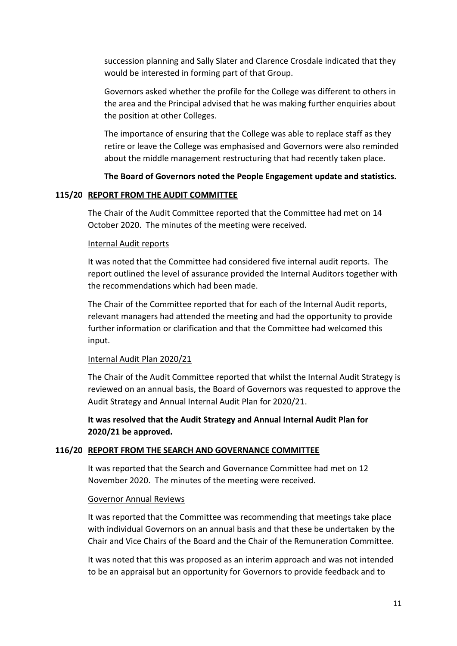succession planning and Sally Slater and Clarence Crosdale indicated that they would be interested in forming part of that Group.

Governors asked whether the profile for the College was different to others in the area and the Principal advised that he was making further enquiries about the position at other Colleges.

The importance of ensuring that the College was able to replace staff as they retire or leave the College was emphasised and Governors were also reminded about the middle management restructuring that had recently taken place.

### **The Board of Governors noted the People Engagement update and statistics.**

#### **115/20 REPORT FROM THE AUDIT COMMITTEE**

The Chair of the Audit Committee reported that the Committee had met on 14 October 2020. The minutes of the meeting were received.

#### Internal Audit reports

It was noted that the Committee had considered five internal audit reports. The report outlined the level of assurance provided the Internal Auditors together with the recommendations which had been made.

The Chair of the Committee reported that for each of the Internal Audit reports, relevant managers had attended the meeting and had the opportunity to provide further information or clarification and that the Committee had welcomed this input.

#### Internal Audit Plan 2020/21

The Chair of the Audit Committee reported that whilst the Internal Audit Strategy is reviewed on an annual basis, the Board of Governors was requested to approve the Audit Strategy and Annual Internal Audit Plan for 2020/21.

**It was resolved that the Audit Strategy and Annual Internal Audit Plan for 2020/21 be approved.**

#### **116/20 REPORT FROM THE SEARCH AND GOVERNANCE COMMITTEE**

It was reported that the Search and Governance Committee had met on 12 November 2020. The minutes of the meeting were received.

#### Governor Annual Reviews

It was reported that the Committee was recommending that meetings take place with individual Governors on an annual basis and that these be undertaken by the Chair and Vice Chairs of the Board and the Chair of the Remuneration Committee.

It was noted that this was proposed as an interim approach and was not intended to be an appraisal but an opportunity for Governors to provide feedback and to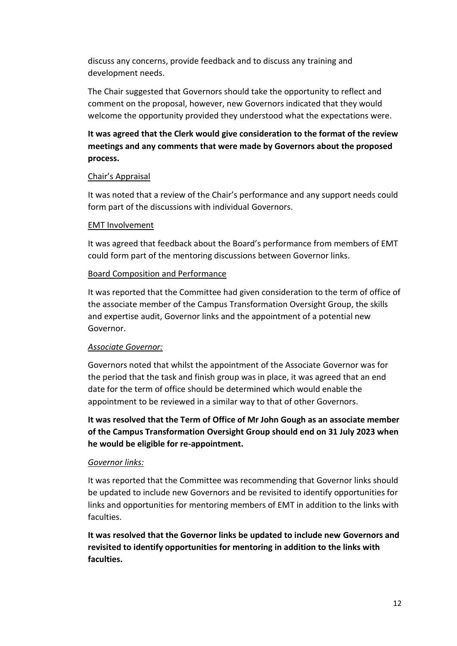discuss any concerns, provide feedback and to discuss any training and development needs.

The Chair suggested that Governors should take the opportunity to reflect and comment on the proposal, however, new Governors indicated that they would welcome the opportunity provided they understood what the expectations were.

# **It was agreed that the Clerk would give consideration to the format of the review meetings and any comments that were made by Governors about the proposed process.**

## Chair's Appraisal

It was noted that a review of the Chair's performance and any support needs could form part of the discussions with individual Governors.

## EMT Involvement

It was agreed that feedback about the Board's performance from members of EMT could form part of the mentoring discussions between Governor links.

## Board Composition and Performance

It was reported that the Committee had given consideration to the term of office of the associate member of the Campus Transformation Oversight Group, the skills and expertise audit, Governor links and the appointment of a potential new Governor.

## *Associate Governor:*

Governors noted that whilst the appointment of the Associate Governor was for the period that the task and finish group was in place, it was agreed that an end date for the term of office should be determined which would enable the appointment to be reviewed in a similar way to that of other Governors.

**It was resolved that the Term of Office of Mr John Gough as an associate member of the Campus Transformation Oversight Group should end on 31 July 2023 when he would be eligible for re-appointment.**

## *Governor links:*

It was reported that the Committee was recommending that Governor links should be updated to include new Governors and be revisited to identify opportunities for links and opportunities for mentoring members of EMT in addition to the links with faculties.

**It was resolved that the Governor links be updated to include new Governors and revisited to identify opportunities for mentoring in addition to the links with faculties.**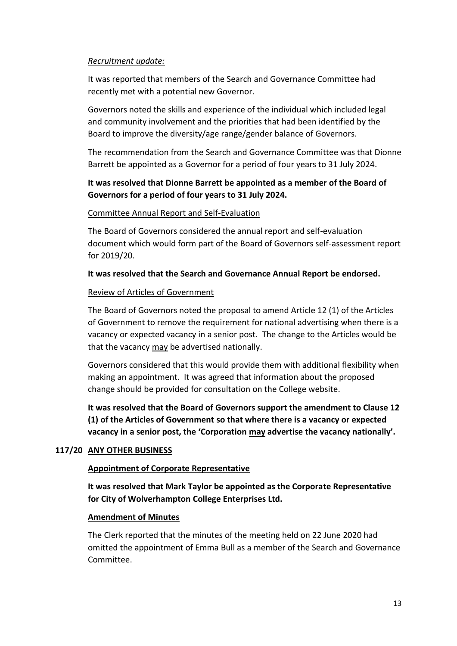## *Recruitment update:*

It was reported that members of the Search and Governance Committee had recently met with a potential new Governor.

Governors noted the skills and experience of the individual which included legal and community involvement and the priorities that had been identified by the Board to improve the diversity/age range/gender balance of Governors.

The recommendation from the Search and Governance Committee was that Dionne Barrett be appointed as a Governor for a period of four years to 31 July 2024.

# **It was resolved that Dionne Barrett be appointed as a member of the Board of Governors for a period of four years to 31 July 2024.**

## Committee Annual Report and Self-Evaluation

The Board of Governors considered the annual report and self-evaluation document which would form part of the Board of Governors self-assessment report for 2019/20.

## **It was resolved that the Search and Governance Annual Report be endorsed.**

## Review of Articles of Government

The Board of Governors noted the proposal to amend Article 12 (1) of the Articles of Government to remove the requirement for national advertising when there is a vacancy or expected vacancy in a senior post. The change to the Articles would be that the vacancy may be advertised nationally.

Governors considered that this would provide them with additional flexibility when making an appointment. It was agreed that information about the proposed change should be provided for consultation on the College website.

**It was resolved that the Board of Governors support the amendment to Clause 12 (1) of the Articles of Government so that where there is a vacancy or expected vacancy in a senior post, the 'Corporation may advertise the vacancy nationally'.**

## **117/20 ANY OTHER BUSINESS**

### **Appointment of Corporate Representative**

**It was resolved that Mark Taylor be appointed as the Corporate Representative for City of Wolverhampton College Enterprises Ltd.**

### **Amendment of Minutes**

The Clerk reported that the minutes of the meeting held on 22 June 2020 had omitted the appointment of Emma Bull as a member of the Search and Governance Committee.